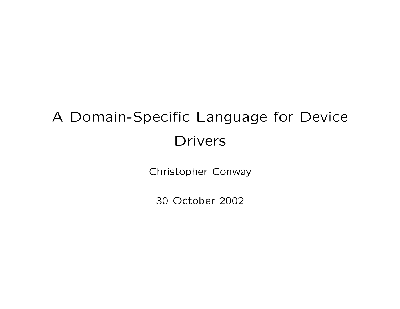# A Domain-Specific Language for Device Drivers

Christopher Conway

30 October 2002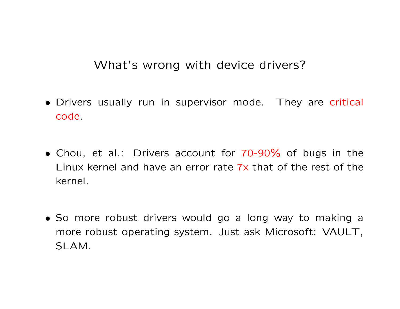What's wrong with device drivers?

- Drivers usually run in supervisor mode. They are critical code.
- Chou, et al.: Drivers account for 70-90% of bugs in the Linux kernel and have an error rate 7x that of the rest of the kernel.
- So more robust drivers would go a long way to making a more robust operating system. Just ask Microsoft: VAULT, SLAM.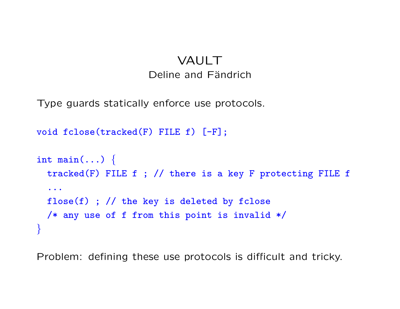## VAULT Deline and Fändrich

Type guards statically enforce use protocols.

```
void fclose(tracked(F) FILE f) [-F];
int main(...) \{tracked(F) FILE f ; // there is a key F protecting FILE f
  ...
  flose(f) ; // the key is deleted by fclose
  /* any use of f from this point is invalid */
}
```
Problem: defining these use protocols is difficult and tricky.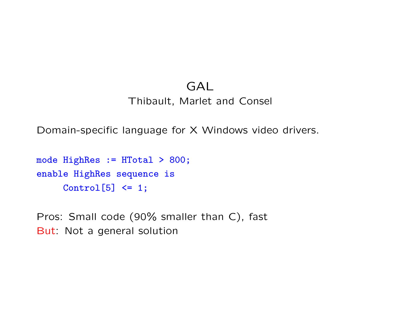# GAL

Thibault, Marlet and Consel

Domain-specific language for X Windows video drivers.

```
mode HighRes := HTotal > 800;
enable HighRes sequence is
     Control[5] <= 1;
```
Pros: Small code (90% smaller than C), fast But: Not a general solution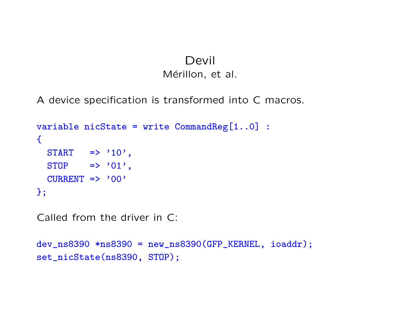#### Devil Mérillon, et al.

A device specification is transformed into C macros.

```
variable nicState = write CommandReg[1..0] :
\left\{ \right.START \Rightarrow '10',
  STOP \Rightarrow '01',
  CURRENT => '00'};
```
Called from the driver in C:

```
dev_ns8390 *ns8390 = new_ns8390(GFP_KERNEL, ioaddr);
set_nicState(ns8390, STOP);
```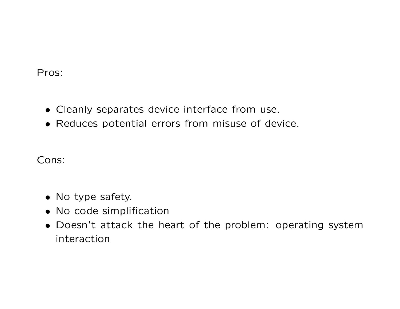Pros:

- Cleanly separates device interface from use.
- Reduces potential errors from misuse of device.

Cons:

- No type safety.
- No code simplification
- Doesn't attack the heart of the problem: operating system interaction